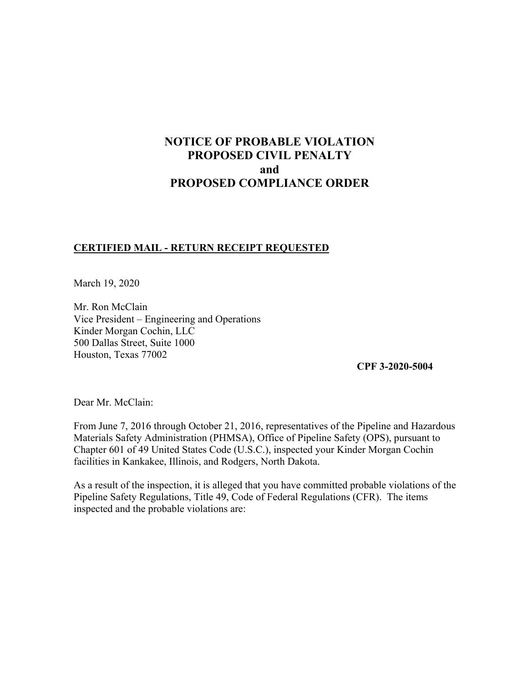# **NOTICE OF PROBABLE VIOLATION PROPOSED CIVIL PENALTY and PROPOSED COMPLIANCE ORDER**

### **CERTIFIED MAIL - RETURN RECEIPT REQUESTED**

March 19, 2020

Mr. Ron McClain Vice President – Engineering and Operations Kinder Morgan Cochin, LLC 500 Dallas Street, Suite 1000 Houston, Texas 77002

**CPF 3-2020-5004** 

Dear Mr. McClain:

From June 7, 2016 through October 21, 2016, representatives of the Pipeline and Hazardous Materials Safety Administration (PHMSA), Office of Pipeline Safety (OPS), pursuant to Chapter 601 of 49 United States Code (U.S.C.), inspected your Kinder Morgan Cochin facilities in Kankakee, Illinois, and Rodgers, North Dakota.

As a result of the inspection, it is alleged that you have committed probable violations of the Pipeline Safety Regulations, Title 49, Code of Federal Regulations (CFR). The items inspected and the probable violations are: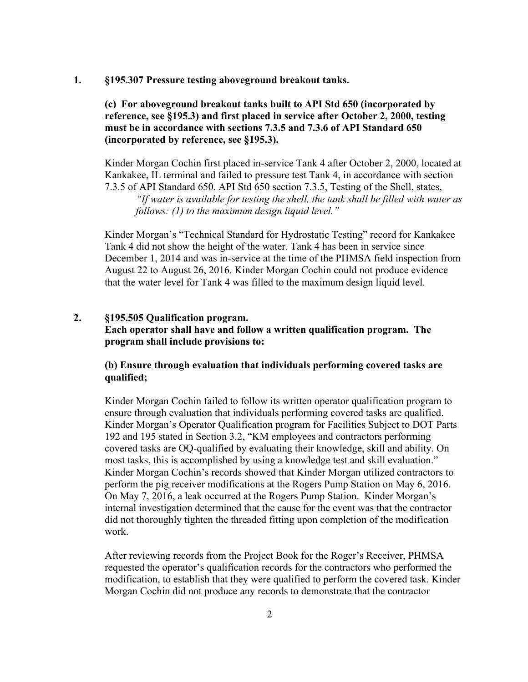#### **1. §195.307 Pressure testing aboveground breakout tanks.**

### **(c) For aboveground breakout tanks built to API Std 650 (incorporated by reference, see §195.3) and first placed in service after October 2, 2000, testing must be in accordance with sections 7.3.5 and 7.3.6 of API Standard 650 (incorporated by reference, see §195.3).**

Kinder Morgan Cochin first placed in-service Tank 4 after October 2, 2000, located at Kankakee, IL terminal and failed to pressure test Tank 4, in accordance with section 7.3.5 of API Standard 650. API Std 650 section 7.3.5, Testing of the Shell, states, *"If water is available for testing the shell, the tank shall be filled with water as* 

*follows: (1) to the maximum design liquid level."* 

Kinder Morgan's "Technical Standard for Hydrostatic Testing" record for Kankakee Tank 4 did not show the height of the water. Tank 4 has been in service since December 1, 2014 and was in-service at the time of the PHMSA field inspection from August 22 to August 26, 2016. Kinder Morgan Cochin could not produce evidence that the water level for Tank 4 was filled to the maximum design liquid level.

## **2. §195.505 Qualification program. Each operator shall have and follow a written qualification program. The program shall include provisions to:**

### **(b) Ensure through evaluation that individuals performing covered tasks are qualified;**

Kinder Morgan Cochin failed to follow its written operator qualification program to ensure through evaluation that individuals performing covered tasks are qualified. Kinder Morgan's Operator Qualification program for Facilities Subject to DOT Parts 192 and 195 stated in Section 3.2, "KM employees and contractors performing covered tasks are OQ-qualified by evaluating their knowledge, skill and ability. On most tasks, this is accomplished by using a knowledge test and skill evaluation." Kinder Morgan Cochin's records showed that Kinder Morgan utilized contractors to perform the pig receiver modifications at the Rogers Pump Station on May 6, 2016. On May 7, 2016, a leak occurred at the Rogers Pump Station. Kinder Morgan's internal investigation determined that the cause for the event was that the contractor did not thoroughly tighten the threaded fitting upon completion of the modification work.

After reviewing records from the Project Book for the Roger's Receiver, PHMSA requested the operator's qualification records for the contractors who performed the modification, to establish that they were qualified to perform the covered task. Kinder Morgan Cochin did not produce any records to demonstrate that the contractor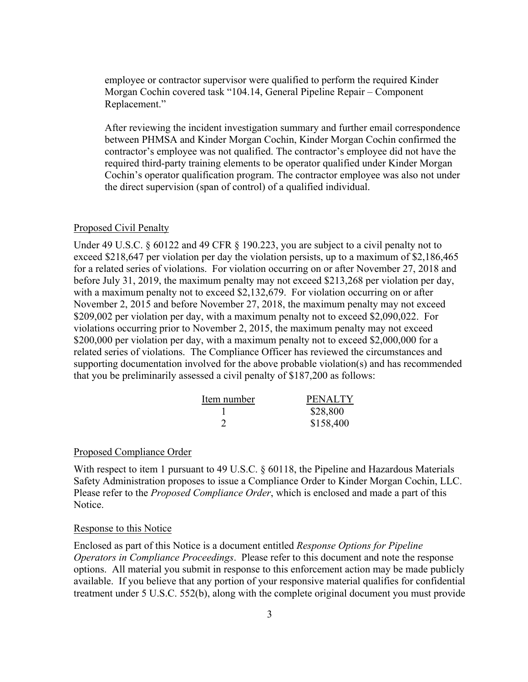employee or contractor supervisor were qualified to perform the required Kinder Morgan Cochin covered task "104.14, General Pipeline Repair – Component Replacement."

After reviewing the incident investigation summary and further email correspondence between PHMSA and Kinder Morgan Cochin, Kinder Morgan Cochin confirmed the contractor's employee was not qualified. The contractor's employee did not have the required third-party training elements to be operator qualified under Kinder Morgan Cochin's operator qualification program. The contractor employee was also not under the direct supervision (span of control) of a qualified individual.

#### Proposed Civil Penalty

Under 49 U.S.C. § 60122 and 49 CFR § 190.223, you are subject to a civil penalty not to exceed \$218,647 per violation per day the violation persists, up to a maximum of \$2,186,465 for a related series of violations. For violation occurring on or after November 27, 2018 and before July 31, 2019, the maximum penalty may not exceed \$213,268 per violation per day, with a maximum penalty not to exceed \$2,132,679. For violation occurring on or after November 2, 2015 and before November 27, 2018, the maximum penalty may not exceed \$209,002 per violation per day, with a maximum penalty not to exceed \$2,090,022. For violations occurring prior to November 2, 2015, the maximum penalty may not exceed \$200,000 per violation per day, with a maximum penalty not to exceed \$2,000,000 for a related series of violations. The Compliance Officer has reviewed the circumstances and supporting documentation involved for the above probable violation(s) and has recommended that you be preliminarily assessed a civil penalty of \$187,200 as follows:

| Item number | <b>PENALTY</b> |
|-------------|----------------|
|             | \$28,800       |
|             | \$158,400      |

### Proposed Compliance Order

With respect to item 1 pursuant to 49 U.S.C. § 60118, the Pipeline and Hazardous Materials Safety Administration proposes to issue a Compliance Order to Kinder Morgan Cochin, LLC. Please refer to the *Proposed Compliance Order*, which is enclosed and made a part of this Notice.

#### Response to this Notice

Enclosed as part of this Notice is a document entitled *Response Options for Pipeline Operators in Compliance Proceedings*. Please refer to this document and note the response options. All material you submit in response to this enforcement action may be made publicly available. If you believe that any portion of your responsive material qualifies for confidential treatment under 5 U.S.C. 552(b), along with the complete original document you must provide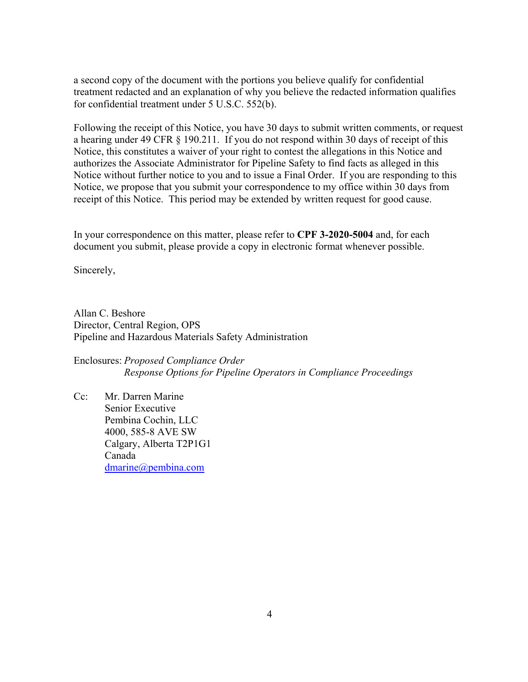a second copy of the document with the portions you believe qualify for confidential treatment redacted and an explanation of why you believe the redacted information qualifies for confidential treatment under 5 U.S.C. 552(b).

Following the receipt of this Notice, you have 30 days to submit written comments, or request a hearing under 49 CFR § 190.211. If you do not respond within 30 days of receipt of this Notice, this constitutes a waiver of your right to contest the allegations in this Notice and authorizes the Associate Administrator for Pipeline Safety to find facts as alleged in this Notice without further notice to you and to issue a Final Order. If you are responding to this Notice, we propose that you submit your correspondence to my office within 30 days from receipt of this Notice. This period may be extended by written request for good cause.

In your correspondence on this matter, please refer to **CPF 3-2020-5004** and, for each document you submit, please provide a copy in electronic format whenever possible.

Sincerely,

Allan C. Beshore Director, Central Region, OPS Pipeline and Hazardous Materials Safety Administration

Enclosures: *Proposed Compliance Order Response Options for Pipeline Operators in Compliance Proceedings* 

Cc: Mr. Darren Marine Senior Executive Pembina Cochin, LLC 4000, 585-8 AVE SW Calgary, Alberta T2P1G1 Canada [dmarine@pembina.com](mailto:dmarine@pembina.com)